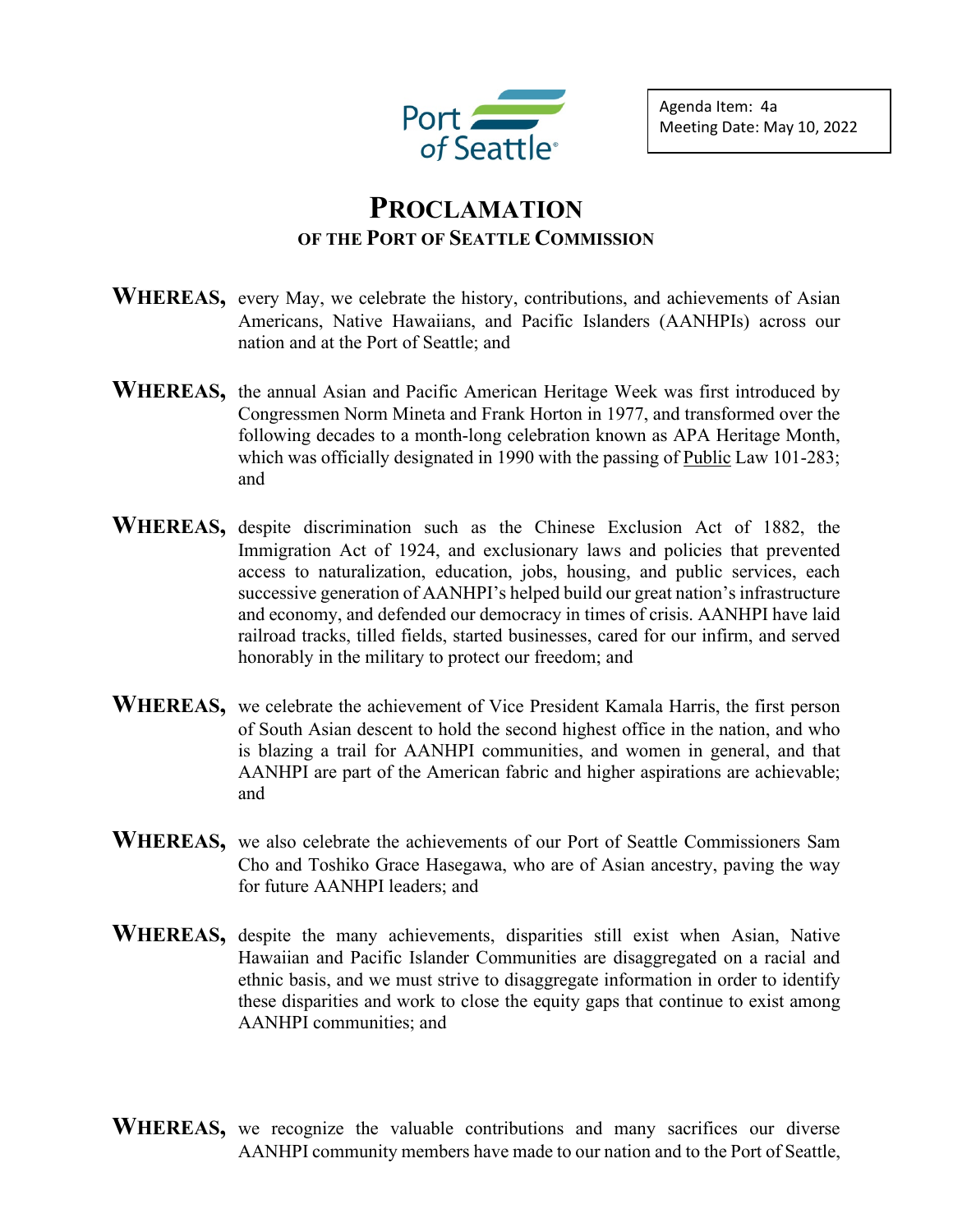

Agenda Item: 4a Meeting Date: May 10, 2022

## **PROCLAMATION OF THE PORT OF SEATTLE COMMISSION**

- WHEREAS, every May, we celebrate the history, contributions, and achievements of Asian Americans, Native Hawaiians, and Pacific Islanders (AANHPIs) across our nation and at the Port of Seattle; and
- **WHEREAS,** the annual Asian and Pacific American Heritage Week was first introduced by Congressmen Norm Mineta and Frank Horton in 1977, and transformed over the following decades to a month-long celebration known as APA Heritage Month, which was officially designated in 1990 with the passing of [Public](https://www.govinfo.gov/content/pkg/STATUTE-104/pdf/STATUTE-104-Pg168.pdf) Law 101-283; and
- **WHEREAS,** despite discrimination such as the Chinese Exclusion Act of 1882, the Immigration Act of 1924, and exclusionary laws and policies that prevented access to naturalization, education, jobs, housing, and public services, each successive generation of AANHPI's helped build our great nation's infrastructure and economy, and defended our democracy in times of crisis. AANHPI have laid railroad tracks, tilled fields, started businesses, cared for our infirm, and served honorably in the military to protect our freedom; and
- **WHEREAS,** we celebrate the achievement of Vice President Kamala Harris, the first person of South Asian descent to hold the second highest office in the nation, and who is blazing a trail for AANHPI communities, and women in general, and that AANHPI are part of the American fabric and higher aspirations are achievable; and
- **WHEREAS,** we also celebrate the achievements of our Port of Seattle Commissioners Sam Cho and Toshiko Grace Hasegawa, who are of Asian ancestry, paving the way for future AANHPI leaders; and
- **WHEREAS,** despite the many achievements, disparities still exist when Asian, Native Hawaiian and Pacific Islander Communities are disaggregated on a racial and ethnic basis, and we must strive to disaggregate information in order to identify these disparities and work to close the equity gaps that continue to exist among AANHPI communities; and
- WHEREAS, we recognize the valuable contributions and many sacrifices our diverse AANHPI community members have made to our nation and to the Port of Seattle,